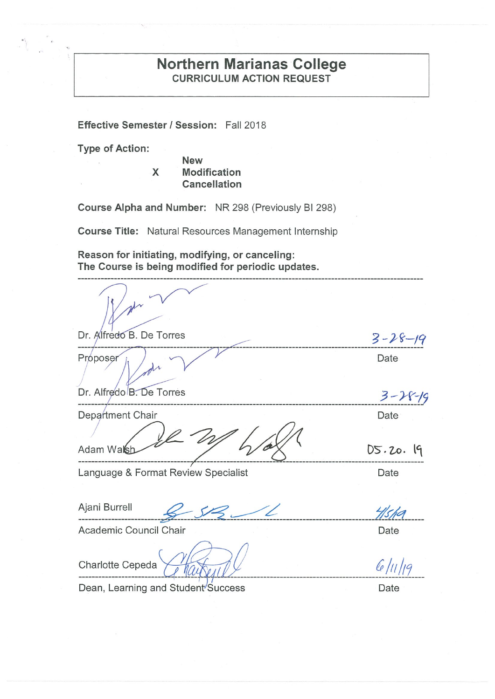# **Northern Marianas College CURRICULUM ACTION REQUEST**

Effective Semester / Session: Fall 2018

**Type of Action:** 

**New** X **Modification** Cancellation

Course Alpha and Number: NR 298 (Previously BI 298)

**Course Title:** Natural Resources Management Internship

Reason for initiating, modifying, or canceling: The Course is being modified for periodic updates.

Dr. Alfredo B. De Torres  $3 - 28 - 19$ Proposer Date Dr. Alfredo B. De Torres  $3 - 28 - 19$ Department Chair Date Adam Walsh  $DS.20.19$ Language & Format Review Specialist Date Ajani Burrell Hsha Academic Council Chair Date

Charlotte Cepeda

Dean, Learning and Student Success

Date

 $6/11/19$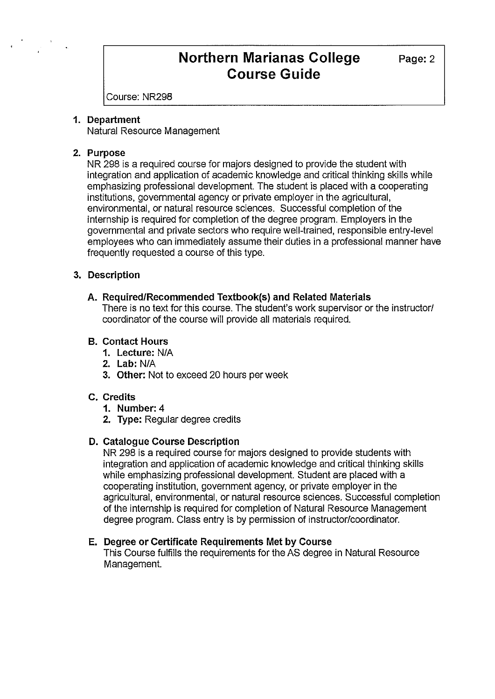Course: NR298

#### **1. Department**

Natural Resource Management

### **2. Purpose**

NR 298 is a required course for majors designed to provide the student with integration and application of academic knowledge and critical thinking skills while emphasizing professional development. The student is placed with a cooperating institutions, governmental agency or private employer in the agricultural, environmental, or natural resource sciences. Successful completion of the internship is required for completion of the degree program. Employers in the governmental and private sectors who require well-trained, responsible entry-level employees who can immediately assume their duties in a professional manner have frequently requested a course of this type.

# **3. Description**

## **A. Required/Recommended Textbook(s) and Related Materials**

There is no text for this course. The student's work supervisor or the instructor/ coordinator of the course will provide all materials required.

## **B. Contact Hours**

- **1. Lecture:** N/A
- **2. Lab:** N/A
- **3. Other:** Not to exceed 20 hours per week

# **C. Credits**

- **1. Number:** 4
- **2. Type:** Regular degree credits

# **D. Catalogue Course Description**

NR 298 is a required course for majors designed to provide students with integration and application of academic knowledge and critical thinking skills while emphasizing professional development. Student are placed with a cooperating institution, government agency, or private employer in the agricultural, environmental, or natural resource sciences. Successful completion of the internship is required for completion of Natural Resource Management degree program. Class entry is by permission of instructor/coordinator.

#### **E. Degree or Certificate Requirements Met by Course**

This Course fulfills the requirements for the AS degree in Natural Resource Management.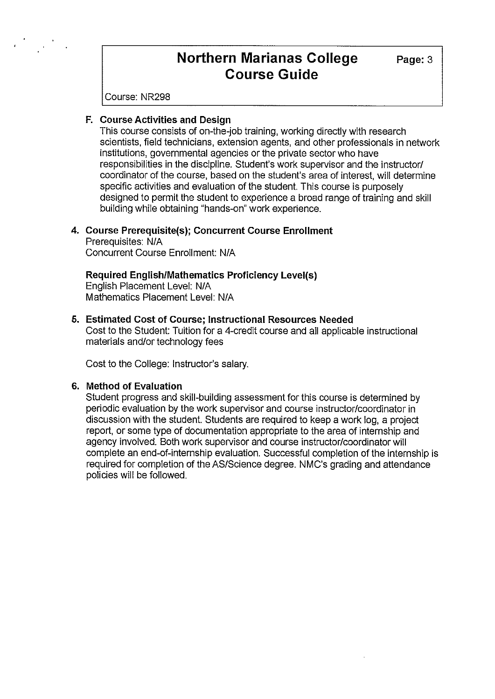Course: NR298

### **F. Course Activities and Design**

This course consists of on-the-job training, working directly with research scientists, field technicians, extension agents, and other professionals in network institutions, governmental agencies or the private sector who have responsibilities in the discipline. Student's work supervisor and the instructor/ coordinator of the course, based on the student's area of interest, will determine specific activities and evaluation of the student. This course is purposely designed to permit the student to experience a broad range of training and skill building while obtaining "hands-on" work experience.

#### **4. Course Prerequisite(s); Concurrent Course Enrollment**

Prerequisites: NIA Concurrent Course Enrollment: NIA

## **Required English/Mathematics Proficiency Level(s)**

English Placement Level: N/A Mathematics Placement Level: N/A

#### **5. Estimated Cost of Course; Instructional Resources Needed**

Cost to the Student: Tuition for a 4-credit course and all applicable instructional materials and/or technology fees

Cost to the College: Instructor's salary.

#### **6. Method of Evaluation**

Student progress and skill-building assessment for this course is determined by periodic evaluation by the work supervisor and course instructor/coordinator in discussion with the student. Students are required to keep a work log, a project report, or some type of documentation appropriate to the area of internship and agency involved. Both work supervisor and course instructor/coordinator will complete an end-of-internship evaluation. Successful completion of the internship is required for completion of the AS/Science degree. NMC's grading and attendance policies will be followed.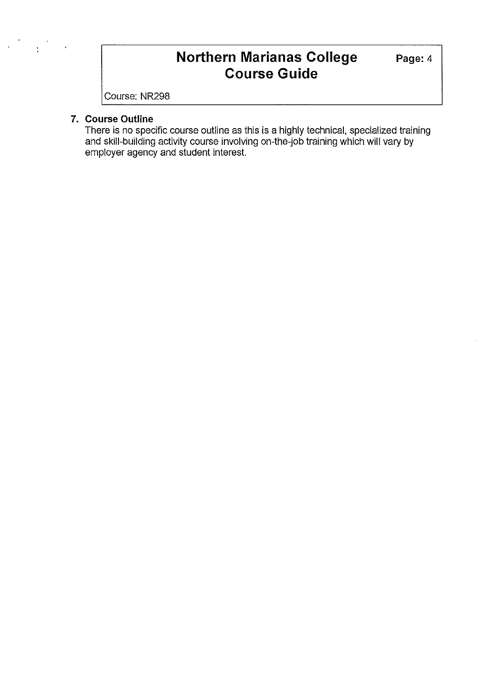Course: NR298

# **7. Course Outline**

There is no specific course outline as this is a highly technical, specialized training and skill-building activity course involving on-the-job training which will vary by employer agency and student interest.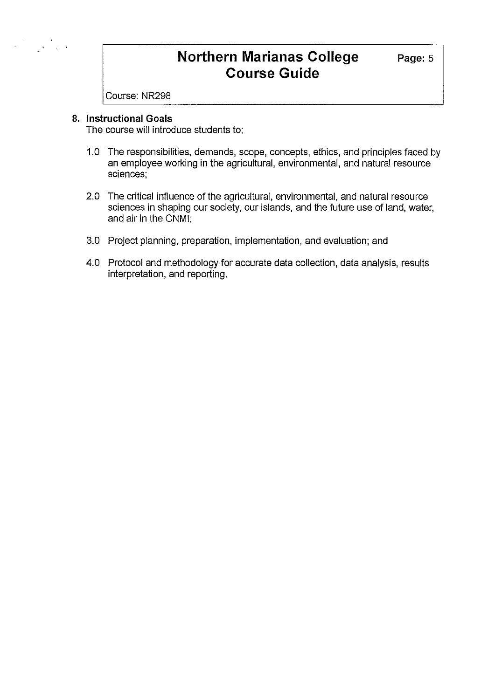Course: NR298

## **8. Instructional Goals**

 $\mathcal{L} = \frac{1}{2} \sum_{i=1}^{n} \frac{1}{2} \sum_{j=1}^{n} \frac{1}{2} \sum_{j=1}^{n} \frac{1}{2} \sum_{j=1}^{n} \frac{1}{2} \sum_{j=1}^{n} \frac{1}{2} \sum_{j=1}^{n} \frac{1}{2} \sum_{j=1}^{n} \frac{1}{2} \sum_{j=1}^{n} \frac{1}{2} \sum_{j=1}^{n} \frac{1}{2} \sum_{j=1}^{n} \frac{1}{2} \sum_{j=1}^{n} \frac{1}{2} \sum_{j=1}^{n} \frac{1}{2} \sum$ 

The course will introduce students to:

- 1.0 The responsibilities, demands, scope, concepts, ethics, and principles faced by an employee working in the agricultural, environmental, and natural resource sciences;
- 2.0 The critical influence of the agricultural, environmental, and natural resource sciences in shaping our society, our islands, and the future use of land, water, and air in the CNMI;
- 3.0 Project planning, preparation, implementation, and evaluation; and
- 4.0 Protocol and methodology for accurate data collection, data analysis, results interpretation, and reporting.